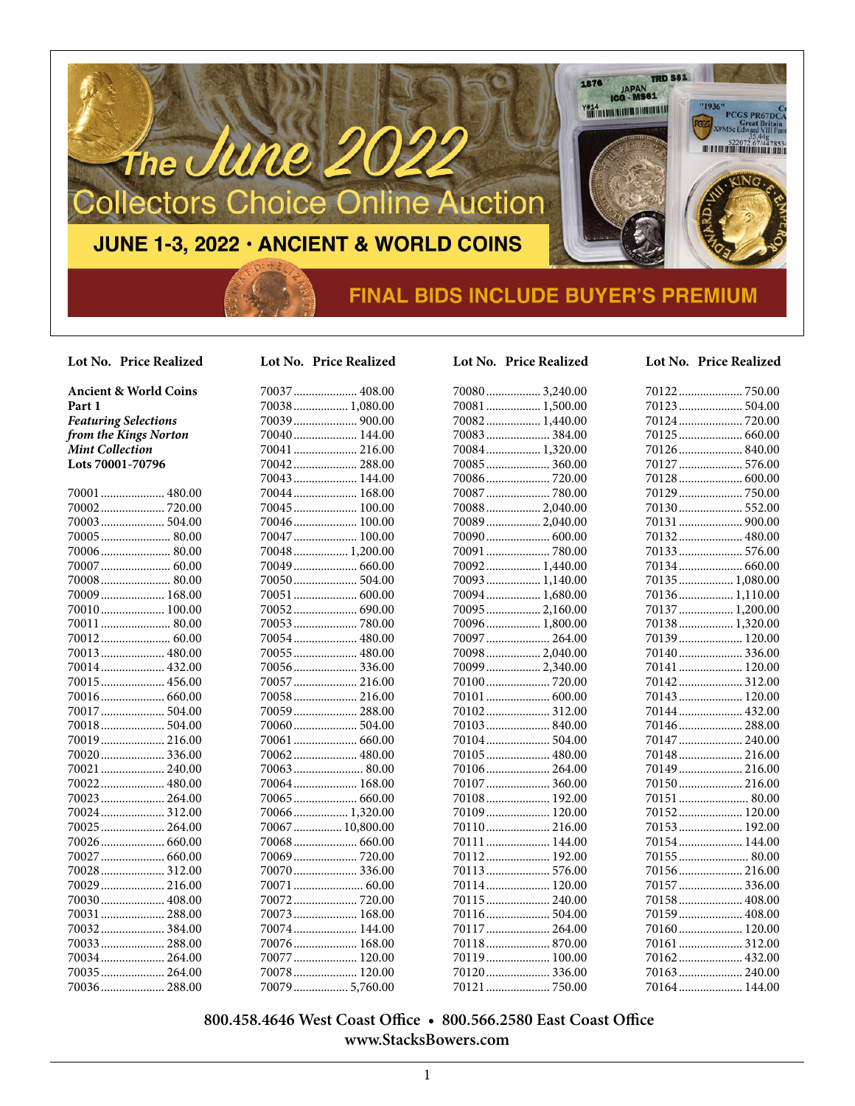

#### **Lot No. Price Realized Lot No. Price Realized Lot No. Price Realized Lot No. Price Realized**

**Ancient & World Coins Part 1**  *Featuring Selections from the Kings Norton Mint Collection* **Lots 70001-70796**

| 70001  480.00 |  |
|---------------|--|
|               |  |
|               |  |
| 70005 80.00   |  |
| 70006 80.00   |  |
|               |  |
|               |  |
| 70009 168.00  |  |
| 70010 100.00  |  |
| 70011 80.00   |  |
|               |  |
|               |  |
| 70014 432.00  |  |
| 70015 456.00  |  |
|               |  |
| 70017  504.00 |  |
|               |  |
| 70019 216.00  |  |
| 70020 336.00  |  |
| 70021  240.00 |  |
| 70022 480.00  |  |
| 70023  264.00 |  |
| 70024 312.00  |  |
| 70025  264.00 |  |
| 70026  660.00 |  |
| 70027  660.00 |  |
|               |  |
|               |  |
| 70030 408.00  |  |
| 70031  288.00 |  |
|               |  |
|               |  |
|               |  |
| 70035 264.00  |  |

70036..................... 288.00

| 70037  408.00    |
|------------------|
| 70038 1,080.00   |
| 70039  900.00    |
| 70040  144.00    |
| 70041  216.00    |
| 70042 288.00     |
| 70043  144.00    |
| 70044 168.00     |
| 70045  100.00    |
|                  |
| 70047  100.00    |
| 70048  1,200.00  |
| 70049  660.00    |
|                  |
| 70051  600.00    |
|                  |
|                  |
| 70054 480.00     |
| 70055 480.00     |
| 70056336.00      |
| 70057  216.00    |
| 70058 216.00     |
| 70059  288.00    |
| 70060 504.00     |
| 70061  660.00    |
| 70062 480.00     |
| 70063 80.00      |
| 70064  168.00    |
| 70065  660.00    |
| 70066 1,320.00   |
| 70067  10,800.00 |
| 70068 660.00     |
| 70069  720.00    |
| 70070  336.00    |
| 70071  60.00     |
|                  |
| 70073  168.00    |
| 70074 144.00     |
| 70076 168.00     |
| 70077  120.00    |
| 70078<br>120.00  |

70079.................. 5,760.00

| 08.00  | 70080   |
|--------|---------|
| 080.00 | 70081   |
| 00.00  | 70082   |
| 144.00 | 70083   |
| 216.00 | 70084   |
| 288.00 | 70085   |
| 144.00 | 70086   |
| 168.00 | 70087   |
| 100.00 | 70088   |
| 100.00 | 70089   |
| 100.00 | 70090   |
| 200.00 | 70091   |
| 660.00 | 70092   |
| 504.00 | 70093   |
| 500.00 | 70094   |
| 590.00 | 70095   |
| 780.00 | 70096   |
| 180.00 | 70097   |
| 180.00 | 70098   |
| 336.00 | 70099   |
| 216.00 | $70100$ |
| 216.00 | 70101   |
| 288.00 | 70102   |
| 504.00 | $70103$ |
| 660.00 | 70104   |
| 180.00 | 70105   |
| 80.00  | 70106   |
| 168.00 | 70107   |
| 560.00 | 70108   |
| 320.00 | 70109   |
| 300.00 | $70110$ |
| 660.00 | 70111   |
| 720.00 | 70112   |
| 336.00 | 70113   |
| 60.00  | 70114   |
| 720.00 | 70115   |
| 168.00 | 70116   |

70080.................. 3,240.00 70081.................. 1,500.00 70082.................. 1,440.00 70083..................... 384.00 70084.................. 1,320.00 70085..................... 360.00 70086..................... 720.00 70087..................... 780.00 70088.................. 2,040.00 ............. 2,040.00 ................ 600.00 70091..................... 780.00 70092.................. 1,440.00 70093.................. 1,140.00 70094.................. 1,680.00 70095.................. 2,160.00 70096.................. 1,800.00 70097..................... 264.00 70098.................. 2,040.00 70099.................. 2,340.00 70100..................... 720.00 70101..................... 600.00 70102..................... 312.00 70103..................... 840.00 70104..................... 504.00 70105..................... 480.00 70106..................... 264.00 70107..................... 360.00 70108..................... 192.00 70109..................... 120.00 70110..................... 216.00 70111..................... 144.00 70112..................... 192.00 ................ 576.00 70114..................... 120.00 70115..................... 240.00 70116..................... 504.00 70117..................... 264.00 70118..................... 870.00 70119..................... 100.00 70120..................... 336.00 70121..................... 750.00 70164..................... 144.00

| 70123  504.00   |  |
|-----------------|--|
|                 |  |
|                 |  |
| 70126840.00     |  |
| 70127  576.00   |  |
|                 |  |
| 70129  750.00   |  |
| 70130 552.00    |  |
|                 |  |
|                 |  |
|                 |  |
|                 |  |
| 70135  1,080.00 |  |
| 70136 1,110.00  |  |
| 70137  1,200.00 |  |
| 70138 1,320.00  |  |
| 70139 120.00    |  |
| 70140336.00     |  |
| 70141  120.00   |  |
|                 |  |
| 70143 120.00    |  |
| 70144  432.00   |  |
| 70146 288.00    |  |
| 70147  240.00   |  |
| 70148 216.00    |  |
|                 |  |
| 70150 216.00    |  |
| 70151  80.00    |  |
| 70152 120.00    |  |
| 70153 192.00    |  |
| 70154  144.00   |  |
| 70155 80.00     |  |
| 70156 216.00    |  |
| 70157  336.00   |  |
| 70158 408.00    |  |
| 70159  408.00   |  |
| 70160 120.00    |  |
| 70161  312.00   |  |
| 70162 432.00    |  |
|                 |  |

#### **800.458.4646 West Coast Office • 800.566.2580 East Coast Office www.StacksBowers.com**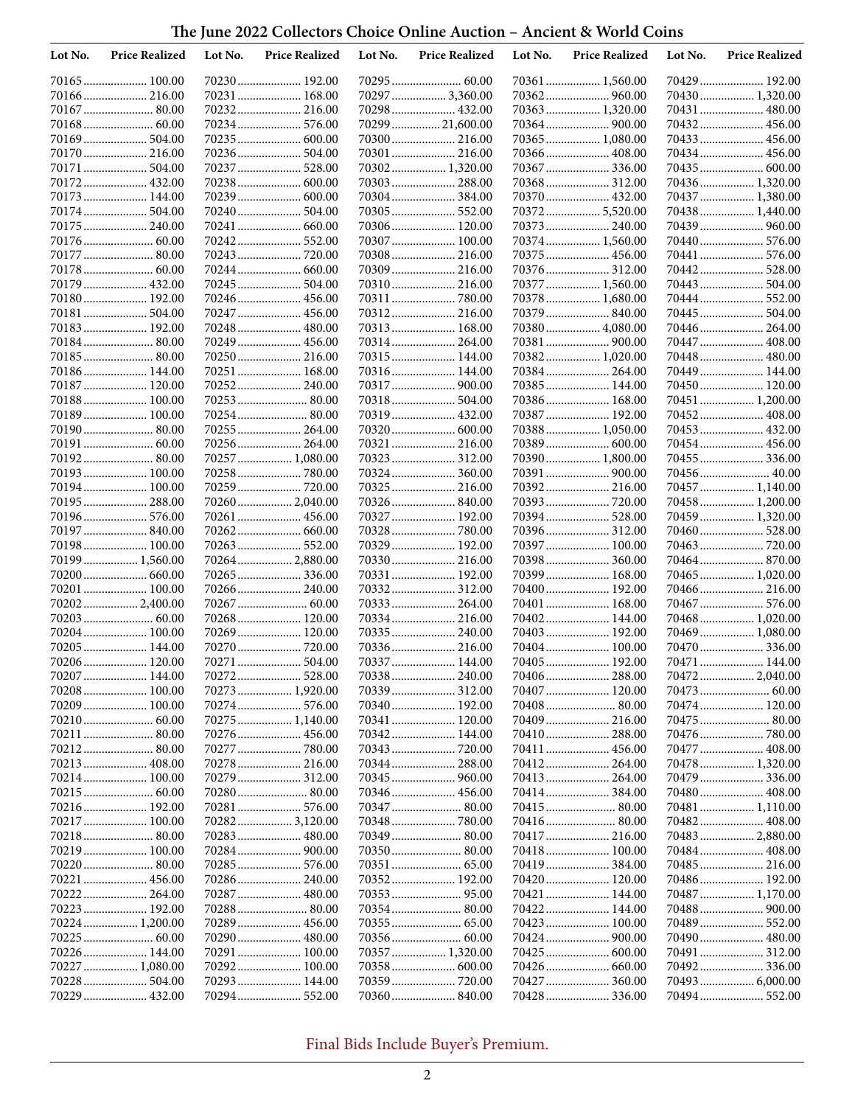## **The June 2022 Collectors Choice Online Auction – Ancient & World Coins**

| Lot No. | <b>Price Realized</b> | Lot No. | <b>Price Realized</b>         | Lot No. | <b>Price Realized</b>         | Lot No. | <b>Price Realized</b>         | Lot No. | <b>Price Realized</b>          |
|---------|-----------------------|---------|-------------------------------|---------|-------------------------------|---------|-------------------------------|---------|--------------------------------|
|         | 70165 100.00          |         | 70230 192.00                  |         |                               |         | 70361  1,560.00               |         | 70429  192.00                  |
|         | 70166 216.00          |         | 70231 168.00                  |         | 70297  3,360.00               |         | 70362 960.00                  |         | 70430 1,320.00                 |
|         | 70167  80.00          |         | 70232 216.00                  |         | 70298 432.00                  |         | 70363 1,320.00                |         | 70431  480.00                  |
|         |                       |         | 70234 576.00                  |         | 70299  21,600.00              |         |                               |         | 70432 456.00                   |
|         |                       |         | 70235 600.00                  |         |                               |         | 70365 1,080.00                |         | 70433  456.00                  |
|         | 70170 216.00          |         | 70236 504.00                  |         | 70301  216.00                 |         |                               |         | 70434 456.00                   |
|         | 70171  504.00         |         |                               |         | 70302 1,320.00                |         |                               |         |                                |
|         | 70172 432.00          |         | 70238 600.00                  |         | 70303 288.00                  |         | 70368 312.00                  |         | 70436 1,320.00                 |
|         | 70173  144.00         |         | 70239 600.00                  |         | 70304 384.00                  |         | 70370 432.00                  |         | 70437  1,380.00                |
|         | 70174 504.00          |         | 70240 504.00                  |         | 70305 552.00                  |         | 70372 5,520.00                |         | 70438 1,440.00                 |
|         | 70175  240.00         |         | 70241  660.00<br>70242 552.00 |         | 70306 120.00                  |         | 70373  240.00                 |         | 70439  960.00<br>70440  576.00 |
|         | 70177  80.00          |         |                               |         | 70307 100.00<br>70308 216.00  |         | 70374 1,560.00                |         | 70441  576.00                  |
|         | 70178 60.00           |         |                               |         | 70309  216.00                 |         | 70376 312.00                  |         | 70442  528.00                  |
|         | 70179  432.00         |         | 70245 504.00                  |         | 70310 216.00                  |         | 70377  1,560.00               |         | 70443  504.00                  |
|         | 70180 192.00          |         | 70246 456.00                  |         |                               |         | 70378 1,680.00                |         | 70444 552.00                   |
|         | 70181  504.00         |         | 70247  456.00                 |         | 70312 216.00                  |         |                               |         | 70445  504.00                  |
|         | 70183 192.00          |         |                               |         | 70313 168.00                  |         | 70380 4,080.00                |         |                                |
|         | 70184 80.00           |         | 70249 456.00                  |         | 70314 264.00                  |         | 70381  900.00                 |         | 70447  408.00                  |
|         | 70185 80.00           |         | 70250 216.00                  |         | 70315 144.00                  |         | 70382 1,020.00                |         | 70448  480.00                  |
|         | 70186 144.00          |         | 70251  168.00                 |         | 70316 144.00                  |         |                               |         | 70449  144.00                  |
|         | 70187  120.00         |         | 70252 240.00                  |         |                               |         | 70385 144.00                  |         | 70450 120.00                   |
|         | 70188 100.00          |         | 70253 80.00                   |         | 70318 504.00                  |         | 70386 168.00                  |         | 70451  1,200.00                |
|         | 70189 100.00          |         | 70254 80.00                   |         | 70319  432.00                 |         | 70387  192.00                 |         | 70452 408.00                   |
|         | 70190 80.00           |         | 70255 264.00                  |         | 70320 600.00                  |         | 70388 1,050.00                |         | 70453  432.00                  |
|         |                       |         | 70256 264.00                  |         | 70321  216.00                 |         | 70389  600.00                 |         | 70454  456.00                  |
|         | 70192 80.00           |         | 70257 1,080.00                |         |                               |         | 70390 1,800.00                |         | 70455  336.00                  |
|         | 70193 100.00          |         | 70258780.00                   |         | 70324 360.00                  |         |                               |         | 70456 40.00                    |
|         | 70194 100.00          |         |                               |         | 70325  216.00                 |         |                               |         | 70457  1,140.00                |
|         | 70195  288.00         |         | 70260 2,040.00                |         |                               |         |                               |         | 70458 1,200.00                 |
|         | 70196 576.00          |         | 70261  456.00                 |         | 70327  192.00                 |         |                               |         | 70459  1,320.00                |
|         | 70197  840.00         |         | 70262 660.00                  |         | 70328  780.00                 |         | 70396 312.00                  |         | 70460  528.00                  |
|         | 70198 100.00          |         |                               |         | 70329 192.00                  |         | 70397  100.00                 |         |                                |
|         | 70199  1,560.00       |         | 70264 2,880.00                |         | 70330 216.00                  |         |                               |         |                                |
|         | 70201  100.00         |         | 70265 336.00<br>70266 240.00  |         | 70331  192.00<br>70332 312.00 |         | 70399  168.00<br>70400 192.00 |         | 70465  1,020.00                |
|         | 70202 2,400.00        |         |                               |         | 70333 264.00                  |         | 70401  168.00                 |         |                                |
|         | 70203 60.00           |         | 70268 120.00                  |         | 70334 216.00                  |         | 70402 144.00                  |         | 70468 1,020.00                 |
|         | 70204 100.00          |         | 70269 120.00                  |         | 70335 240.00                  |         | 70403  192.00                 |         | 70469  1,080.00                |
|         | 70205 144.00          |         |                               |         | 70336 216.00                  |         | 70404 100.00                  |         | 70470  336.00                  |
|         | 70206 120.00          |         | 70271  504.00                 |         | 70337  144.00                 |         | 70405  192.00                 |         | 70471  144.00                  |
|         | 70207 144.00          |         |                               |         |                               |         | 70406 288.00                  |         | 70472 2,040.00                 |
|         | 70208 100.00          |         | 70273 1,920.00                |         | 70339 312.00                  |         | 70407  120.00                 |         |                                |
|         | 70209  100.00         |         | 70274 576.00                  |         | 70340 192.00                  |         |                               |         | 70474 120.00                   |
|         |                       |         | 70275 1,140.00                |         | 70341  120.00                 |         | 70409  216.00                 |         |                                |
|         |                       |         |                               |         | 70342 144.00                  |         |                               |         |                                |
|         |                       |         | 70277  780.00                 |         | 70343  720.00                 |         | 70411  456.00                 |         | 70477  408.00                  |
|         | 70213  408.00         |         | 70278 216.00                  |         |                               |         |                               |         | 70478  1,320.00                |
|         | 70214 100.00          |         |                               |         |                               |         |                               |         | 70479  336.00                  |
|         |                       |         |                               |         |                               |         |                               |         | 70480  408.00                  |
|         | 70216 192.00          |         |                               |         |                               |         |                               |         | 70481  1,110.00                |
|         | 70217  100.00         |         | 70282 3,120.00                |         | 70348  780.00                 |         |                               |         | 70482 408.00                   |
|         |                       |         | 70283 480.00                  |         |                               |         | 70417  216.00                 |         | 70483  2,880.00                |
|         | 70219 100.00          |         |                               |         |                               |         | 70418 100.00                  |         |                                |
|         |                       |         | 70285 576.00                  |         |                               |         |                               |         |                                |
|         | 70221  456.00         |         | 70286 240.00                  |         | 70352 192.00                  |         | 70420 120.00                  |         | 70486 192.00                   |
|         | 70222 264.00          |         | 70287 480.00                  |         |                               |         | 70421  144.00                 |         | 70487  1,170.00                |
|         | 70223 192.00          |         | 70288 80.00                   |         |                               |         | 70422 144.00                  |         | 70488  900.00                  |
|         | 70224  1,200.00       |         | 70289 456.00                  |         |                               |         | 70423  100.00                 |         | 70489  552.00                  |
|         | 70226 144.00          |         | 70290 480.00                  |         |                               |         |                               |         | 70490  480.00<br>70491  312.00 |
|         | 70227  1,080.00       |         | 70291 100.00<br>70292 100.00  |         | 70358  600.00                 |         |                               |         |                                |
|         |                       |         | 70293 144.00                  |         |                               |         |                               |         | 70493  6,000.00                |
|         | 70229  432.00         |         |                               |         |                               |         | 70428 336.00                  |         | 70494 552.00                   |
|         |                       |         |                               |         |                               |         |                               |         |                                |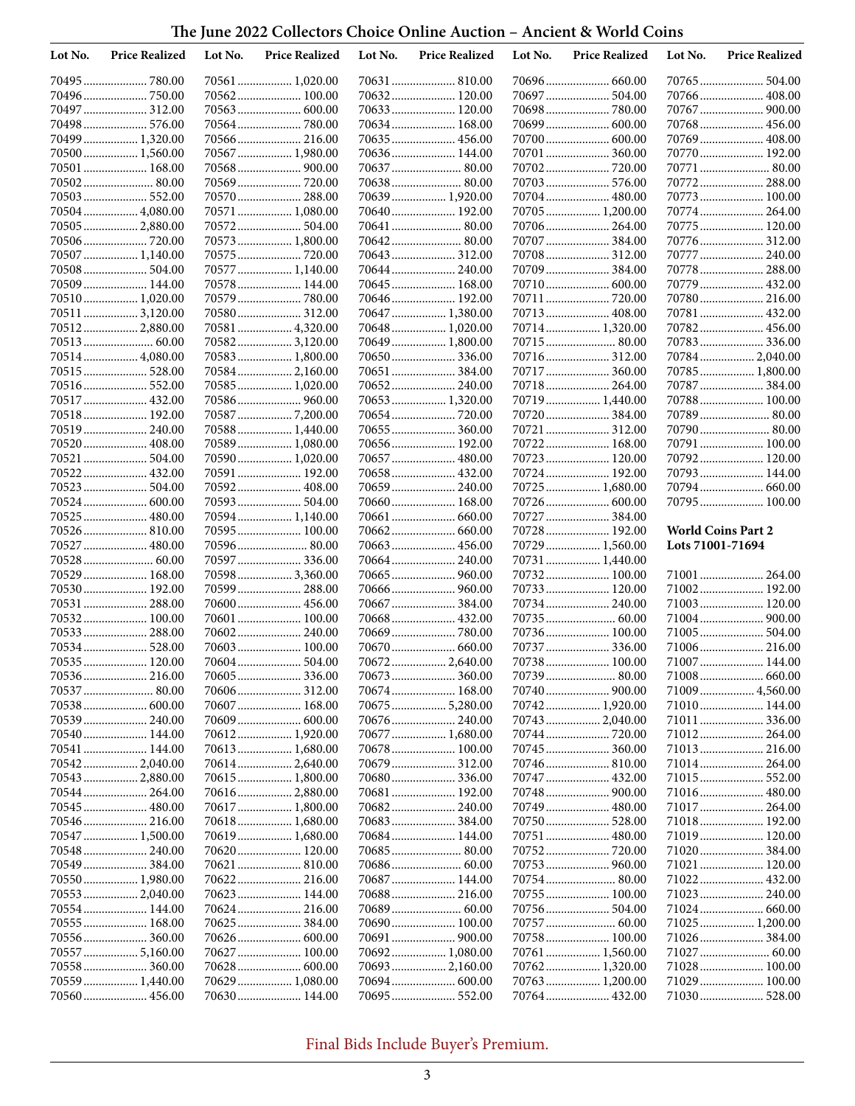## **The June 2022 Collectors Choice Online Auction – Ancient & World Coins**

| Lot No. | <b>Price Realized</b>           | Lot No. | <b>Price Realized</b>            | Lot No. | <b>Price Realized</b>           | Lot No. | <b>Price Realized</b>           | Lot No.          | <b>Price Realized</b>        |
|---------|---------------------------------|---------|----------------------------------|---------|---------------------------------|---------|---------------------------------|------------------|------------------------------|
|         | 70495  780.00                   |         | 70561 1,020.00                   |         | 70631  810.00                   |         |                                 |                  |                              |
|         | 70496  750.00                   |         | 70562 100.00                     |         | 70632 120.00                    | 70697   | 504.00                          |                  | 70766  408.00                |
|         | 70497  312.00                   |         | 70563 600.00                     |         | 70633  120.00                   |         |                                 |                  | 70767  900.00                |
|         | 70498 576.00                    |         |                                  |         | 70634 168.00                    |         | 70699  600.00                   |                  | 70768 456.00                 |
|         | 70499  1,320.00                 |         | 70566 216.00                     |         | 70635 456.00                    |         |                                 |                  | 70769  408.00                |
|         | 70500 1,560.00                  |         | 70567 1,980.00                   |         | 70636 144.00                    |         | 70701  360.00                   |                  | 70770 192.00<br>70771  80.00 |
|         | 70501  168.00<br>70502 80.00    |         |                                  |         | 70638 80.00                     |         |                                 |                  | 70772 288.00                 |
|         | 70503 552.00                    |         | 70570 288.00                     |         | 70639  1,920.00                 |         |                                 |                  |                              |
|         | 70504 4,080.00                  |         | 70571  1,080.00                  |         | 70640 192.00                    |         | 70705 1,200.00                  |                  | 70774 264.00                 |
|         | 70505  2,880.00                 |         |                                  |         | 70641  80.00                    |         |                                 |                  | 70775 120.00                 |
|         | 70506 720.00                    |         | 70573 1,800.00                   |         | 70642 80.00                     |         |                                 |                  | 70776  312.00                |
|         | 70507  1,140.00                 |         |                                  |         | 70643 312.00                    |         | 70708 312.00                    |                  | 70777  240.00                |
|         |                                 |         | 70577  1,140.00                  |         | 70644 240.00                    |         |                                 |                  | 70778  288.00                |
|         | 70509  144.00                   |         | 70578 144.00                     |         | 70645  168.00                   |         |                                 |                  | 70779  432.00                |
|         | 70510 1,020.00                  |         | 70579780.00                      |         | 70646 192.00                    |         | 70711  720.00                   |                  | 70780 216.00                 |
|         | 70511  3,120.00                 |         | 70580 312.00                     |         | 70647  1,380.00                 |         | 70713 408.00                    |                  | 70781  432.00                |
|         | 70512 2,880.00                  |         | 70581  4,320.00                  |         | 70648  1,020.00                 |         | 70714 1,320.00                  |                  | 70782 456.00                 |
|         |                                 |         | 70582 3,120.00                   |         | 70649  1,800.00                 |         |                                 |                  |                              |
|         | 70514 4,080.00                  |         | 70583 1,800.00                   |         | 70650 336.00                    |         | 70716 312.00                    |                  | 70784 2,040.00               |
|         | 70515 528.00                    |         | 70584 2,160.00                   |         | 70651  384.00                   |         |                                 |                  | 70785  1,800.00              |
|         | 70516 552.00<br>70517  432.00   |         | 70585 1,020.00<br>70586 960.00   |         | 70652 240.00<br>70653  1,320.00 |         | 70718 264.00<br>70719  1,440.00 |                  | 70788 100.00                 |
|         | 70518 192.00                    |         | 705877,200.00                    |         |                                 |         |                                 |                  | 70789 80.00                  |
|         | 70519 240.00                    |         | 70588 1,440.00                   |         | 70655  360.00                   |         | 70721  312.00                   |                  | 70790 80.00                  |
|         | 70520  408.00                   |         | 70589 1,080.00                   |         | 70656 192.00                    |         | 70722 168.00                    |                  | 70791  100.00                |
|         | 70521  504.00                   |         | 70590 1,020.00                   |         |                                 |         | 70723  120.00                   |                  | 70792 120.00                 |
|         | 70522 432.00                    |         | 70591  192.00                    |         | 70658 432.00                    |         | 70724  192.00                   |                  | 70793 144.00                 |
|         | 70523  504.00                   |         | 70592 408.00                     |         |                                 |         | 70725  1,680.00                 |                  | 70794 660.00                 |
|         | 70524  600.00                   |         | 70593 504.00                     |         | 70660 168.00                    |         |                                 |                  | 70795 100.00                 |
|         | 70525  480.00                   |         | 70594 1,140.00                   |         |                                 |         | 70727  384.00                   |                  |                              |
|         | 70526 810.00                    |         | 70595 100.00                     |         | 70662 660.00                    |         | 70728 192.00                    |                  | <b>World Coins Part 2</b>    |
|         | 70527  480.00                   |         | 70596 80.00                      |         | 70663  456.00                   |         | 70729  1,560.00                 | Lots 71001-71694 |                              |
|         |                                 |         | 70597  336.00                    |         | 70664 240.00                    |         | 70731  1,440.00                 |                  |                              |
|         | 70529  168.00                   |         | 70598 3,360.00                   |         | 70665  960.00                   |         | 70732 100.00                    |                  | 71001  264.00                |
|         | 70530 192.00                    |         | 70599 288.00                     |         | 70666  960.00                   |         | 70733 120.00                    |                  | 71002 192.00                 |
|         | 70531  288.00<br>70532 100.00   |         | 70600 456.00<br>70601  100.00    |         | 70668  432.00                   |         | 70734  240.00<br>70735  60.00   |                  | 71003 120.00                 |
|         | 70533 288.00                    |         | 70602 240.00                     |         | 70669  780.00                   |         | 70736 100.00                    |                  | 71005 504.00                 |
|         | 70534 528.00                    |         | 70603 100.00                     |         | 70670  660.00                   |         | 70737  336.00                   |                  | 71006 216.00                 |
|         | 70535 120.00                    |         |                                  |         | 70672 2,640.00                  |         | 70738 100.00                    |                  | 71007 144.00                 |
|         | 70536 216.00                    |         |                                  |         |                                 |         | 70739  80.00                    |                  |                              |
|         | 70537  80.00                    |         | 70606 312.00                     |         | 70674 168.00                    |         |                                 |                  | 71009 4,560.00               |
|         | 70538 600.00                    |         | 70607 168.00                     |         | 70675  5,280.00                 |         | 70742 1,920.00                  |                  | 71010 144.00                 |
|         | 70539 240.00                    |         |                                  |         |                                 |         | 70743  2,040.00                 |                  | 71011  336.00                |
|         | 70540 144.00                    |         | 70612 1,920.00                   |         | 70677  1,680.00                 |         |                                 |                  | 71012 264.00                 |
|         | 70541  144.00                   |         | 70613 1,680.00                   |         | 70678 100.00                    |         |                                 |                  | 71013 216.00                 |
|         | 70542 2,040.00                  |         | 70614 2,640.00                   |         |                                 |         |                                 |                  | 71014 264.00                 |
|         | 70543  2,880.00                 |         | 70615 1,800.00                   |         | 70680 336.00                    |         | 70747  432.00                   |                  | 71015 552.00                 |
|         | 70544 264.00                    |         | 70616 2,880.00                   |         | 70681  192.00                   |         | 70748  900.00                   |                  | 71016 480.00                 |
|         | 70545  480.00                   |         | 70617  1,800.00                  |         |                                 |         | 70749  480.00<br>70750 528.00   |                  | 71017  264.00                |
|         | 70546 216.00<br>70547  1,500.00 |         | 70618 1,680.00<br>70619 1,680.00 |         | 70684 144.00                    |         | 70751  480.00                   |                  | 71018 192.00<br>71019 120.00 |
|         |                                 |         | 70620 120.00                     |         |                                 |         | 70752720.00                     |                  | 71020 384.00                 |
|         | 70549384.00                     |         |                                  |         |                                 |         |                                 |                  | 71021  120.00                |
|         | 70550 1,980.00                  |         |                                  |         | 70687  144.00                   |         |                                 |                  |                              |
|         | 705532,040.00                   |         | 70623 144.00                     |         | 70688 216.00                    |         | 70755 100.00                    |                  | 71023 240.00                 |
|         | 70554 144.00                    |         |                                  |         |                                 |         |                                 |                  |                              |
|         | 70555  168.00                   |         |                                  |         | 70690 100.00                    |         |                                 |                  | 71025  1,200.00              |
|         | 70556 360.00                    |         | 70626 600.00                     |         |                                 |         | 70758 100.00                    |                  | 71026 384.00                 |
|         | 70557  5,160.00                 |         | 70627 100.00                     |         | 70692 1,080.00                  |         | 70761  1,560.00                 |                  |                              |
|         |                                 |         | 70628 600.00                     |         | 70693  2,160.00                 |         |                                 |                  | 71028 100.00                 |
|         | 70559  1,440.00                 |         | 70629 1,080.00                   |         |                                 |         | 70763  1,200.00                 |                  | 71029  100.00                |
|         | 70560 456.00                    |         | 70630 144.00                     |         |                                 |         | 70764  432.00                   |                  | 71030 528.00                 |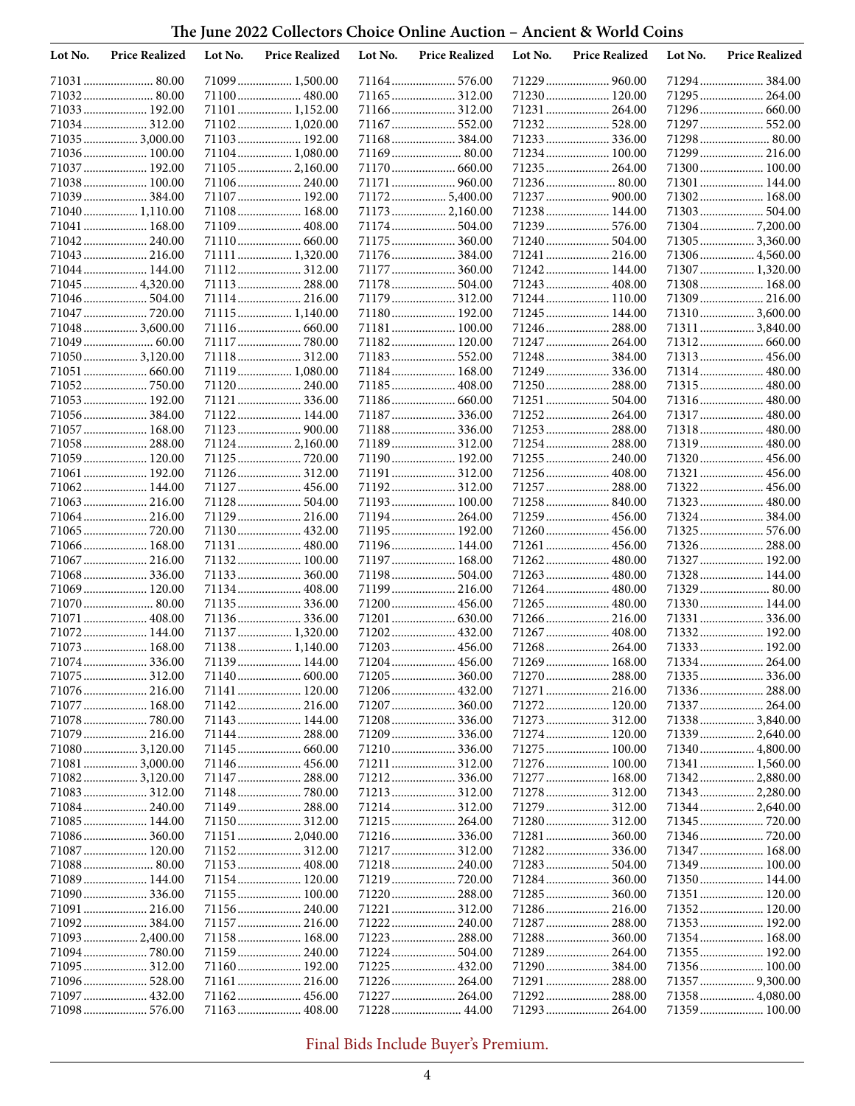**The June 2022 Collectors Choice Online Auction – Ancient & World Coins**

| Lot No. | <b>Price Realized</b>         | Lot No. | <b>Price Realized</b>        | Lot No. | <b>Price Realized</b>          | Lot No. | <b>Price Realized</b>         | Lot No. | <b>Price Realized</b>             |
|---------|-------------------------------|---------|------------------------------|---------|--------------------------------|---------|-------------------------------|---------|-----------------------------------|
|         |                               |         | 71099 1,500.00               |         |                                |         | 71229  960.00                 |         | 71294 384.00                      |
|         | 71032 80.00                   |         | 71100 480.00                 |         |                                |         |                               |         | 71295 264.00                      |
|         | 71033 192.00                  |         | 71101 1,152.00               |         | 71166 312.00                   |         | 71231  264.00                 |         | 71296 660.00                      |
|         | 71034 312.00                  |         | 71102 1,020.00               |         | 71167  552.00                  |         | 71232 528.00                  |         | 71297  552.00                     |
|         | 71035  3,000.00               |         | 71103 192.00                 |         | 71168 384.00                   |         | 71233 336.00                  |         |                                   |
|         | 71036 100.00                  |         | 71104 1,080.00               |         |                                |         | 71234  100.00                 |         | 71299  216.00                     |
|         | 71037  192.00                 |         | 71105 2,160.00               |         |                                |         | 71235 264.00                  |         | 71300 100.00                      |
|         | 71038 100.00                  |         | 71106 240.00                 |         | 71171  960.00                  |         | 71236 80.00                   |         | 71301 144.00                      |
|         | 71039 384.00                  |         | 71107 192.00                 |         | 71172 5,400.00                 |         | 71237  900.00                 |         | 71302 168.00                      |
|         | 71040 1,110.00                |         | 71108 168.00                 |         | 71173  2,160.00                |         | 71238 144.00                  |         |                                   |
|         | 71041  168.00<br>71042 240.00 |         | 71109 408.00                 |         | 71174 504.00<br>71175 360.00   |         | 71239  576.00                 |         | 713047,200.00                     |
|         | 71043  216.00                 |         | 71111 1,320.00               |         | 71176 384.00                   |         | 71240 504.00                  |         | 71305 3,360.00                    |
| 71044   | 144.00                        |         | 71112 312.00                 |         | 71177  360.00                  |         | 71241  216.00<br>71242 144.00 |         | 71306 4,560.00<br>71307  1,320.00 |
|         | 71045  4,320.00               |         | 71113 288.00                 |         | 71178 504.00                   |         | 71243  408.00                 |         | 71308 168.00                      |
|         | 71046 504.00                  |         | 71114 216.00                 |         | 71179 312.00                   |         | 71244  110.00                 |         | 71309 216.00                      |
|         | 71047  720.00                 |         | 71115 1,140.00               |         | 71180 192.00                   |         | 71245  144.00                 |         | 71310 3,600.00                    |
|         | 71048  3,600.00               |         | 71116 660.00                 |         | 71181 100.00                   |         | 71246  288.00                 |         | 71311  3,840.00                   |
|         |                               |         | 71117  780.00                |         | 71182 120.00                   |         | 71247  264.00                 |         | 71312 660.00                      |
|         | 71050 3,120.00                |         | 71118 312.00                 |         | 71183 552.00                   |         | 71248 384.00                  |         |                                   |
|         | 71051  660.00                 |         | 71119 1,080.00               |         | 71184 168.00                   |         |                               |         | 71314 480.00                      |
|         | 71052 750.00                  |         | 71120 240.00                 |         | 71185 408.00                   |         | 71250 288.00                  |         | 71315  480.00                     |
|         | 71053 192.00                  |         | 71121  336.00                |         | 71186 660.00                   |         | 71251  504.00                 |         | 71316 480.00                      |
|         | 71056 384.00                  |         | 71122 144.00                 |         | 71187  336.00                  |         | 71252 264.00                  |         | 71317  480.00                     |
|         | 71057  168.00                 |         |                              |         | 71188 336.00                   |         | 71253 288.00                  |         | 71318 480.00                      |
|         | 71058  288.00                 |         | 71124 2,160.00               |         | 71189 312.00                   |         | 71254  288.00                 |         | 71319  480.00                     |
|         | 71059 120.00                  |         | 71125  720.00                |         | 71190 192.00                   |         | 71255  240.00                 |         | 71320 456.00                      |
|         | 71061  192.00                 |         | 71126 312.00                 |         | 71191  312.00                  |         | 71256 408.00                  |         | 71321  456.00                     |
| 71062   |                               |         | 71127  456.00                |         | 71192 312.00                   |         | 71257  288.00                 |         | 71322 456.00                      |
|         |                               |         |                              |         | 71193 100.00                   |         | 71258 840.00                  |         | 71323  480.00                     |
|         | 71064 216.00                  |         | 71129 216.00                 |         | 71194 264.00                   |         | 71259  456.00                 |         | 71324 384.00                      |
|         | 71065  720.00                 |         | 71130 432.00                 |         | 71195 192.00                   |         |                               |         |                                   |
|         | 71066 168.00                  |         | 71131  480.00                |         | 71196 144.00                   |         | 71261  456.00                 |         | 71326 288.00                      |
|         | 71067  216.00<br>71068 336.00 |         | 71132 100.00<br>71133 360.00 |         | 71197  168.00<br>71198 504.00  |         | 71262 480.00<br>71263  480.00 |         | 71327  192.00<br>71328 144.00     |
|         | 71069  120.00                 |         | 71134 408.00                 |         | 71199 216.00                   |         | 71264  480.00                 |         | 71329  80.00                      |
|         | 71070  80.00                  |         | 71135336.00                  |         | 71200 456.00                   |         |                               |         | 71330 144.00                      |
|         | 71071  408.00                 |         | 71136336.00                  |         |                                |         |                               |         | 71331  336.00                     |
|         | 71072 144.00                  |         | 71137  1,320.00              |         | 71202 432.00                   |         | 71267  408.00                 |         | 71332 192.00                      |
|         | 71073  168.00                 |         | 71138 1,140.00               |         | 71203 456.00                   |         | 71268 264.00                  |         | 71333 192.00                      |
|         | 71074 336.00                  |         | 71139 144.00                 |         | 71204 456.00                   |         | 71269  168.00                 |         | 71334 264.00                      |
|         | 71075  312.00                 |         |                              |         |                                |         | 71270  288.00                 |         |                                   |
|         | 71076 216.00                  |         | 71141 120.00                 |         | 71206 432.00                   |         | 71271  216.00                 |         |                                   |
|         | 71077  168.00                 |         |                              |         |                                |         | 71272 120.00                  |         | 71337 264.00                      |
|         | 71078  780.00                 |         | 71143 144.00                 |         |                                |         | 71273  312.00                 |         | 71338 3,840.00                    |
|         |                               |         | 71144 288.00                 |         |                                |         | 71274 120.00                  |         | 71339  2,640.00                   |
|         | 710803,120.00                 |         |                              |         |                                |         | 71275 100.00                  |         | 71340  4,800.00                   |
|         | 71081  3,000.00               |         | 71146 456.00                 |         | 71211  312.00                  |         | 71276 100.00                  |         | 71341  1,560.00                   |
|         | 710823,120.00                 |         | 71147 288.00                 |         |                                |         | 71277  168.00                 |         | 71342  2,880.00                   |
|         | 71083 312.00                  |         |                              |         | 71213 312.00                   |         |                               |         | 71343  2,280.00                   |
|         |                               |         | 71149 288.00                 |         |                                |         | 71279  312.00                 |         | 71344  2,640.00                   |
|         | 71085 144.00                  |         |                              |         | 71215  264.00                  |         | 71280 312.00                  |         | 71345  720.00                     |
|         |                               |         | 71151 2,040.00               |         |                                |         |                               |         |                                   |
|         | 71087 120.00                  |         | 71152  312.00                |         | 71217 312.00                   |         |                               |         | 71347 168.00                      |
|         | 71088 80.00                   |         |                              |         | 71218 240.00                   |         | 71283 504.00                  |         | 71349  100.00                     |
|         | 71089 144.00                  |         | 71154 120.00<br>71155 100.00 |         | 71219  720.00<br>71220  288.00 |         | 71284 360.00<br>71285 360.00  |         | 71350 144.00<br>71351  120.00     |
|         | 71091  216.00                 |         | 71156 240.00                 |         | 71221  312.00                  |         |                               |         | 71352 120.00                      |
|         | 71092 384.00                  |         | 71157 216.00                 |         |                                |         | 71287 288.00                  |         | 71353 192.00                      |
|         | 71093  2,400.00               |         | 71158 168.00                 |         | 71223  288.00                  |         | 71288 360.00                  |         | 71354 168.00                      |
|         | 71094780.00                   |         | 71159 240.00                 |         |                                |         |                               |         | 71355 192.00                      |
|         |                               |         | 71160 192.00                 |         |                                |         | 71290 384.00                  |         | 71356  100.00                     |
|         | 71096 528.00                  |         | 71161 216.00                 |         |                                |         | 71291  288.00                 |         | 71357  9,300.00                   |
|         | 71097  432.00                 |         | 71162 456.00                 |         | 71227  264.00                  |         |                               |         | 71358 4,080.00                    |
|         |                               |         |                              |         |                                |         |                               |         |                                   |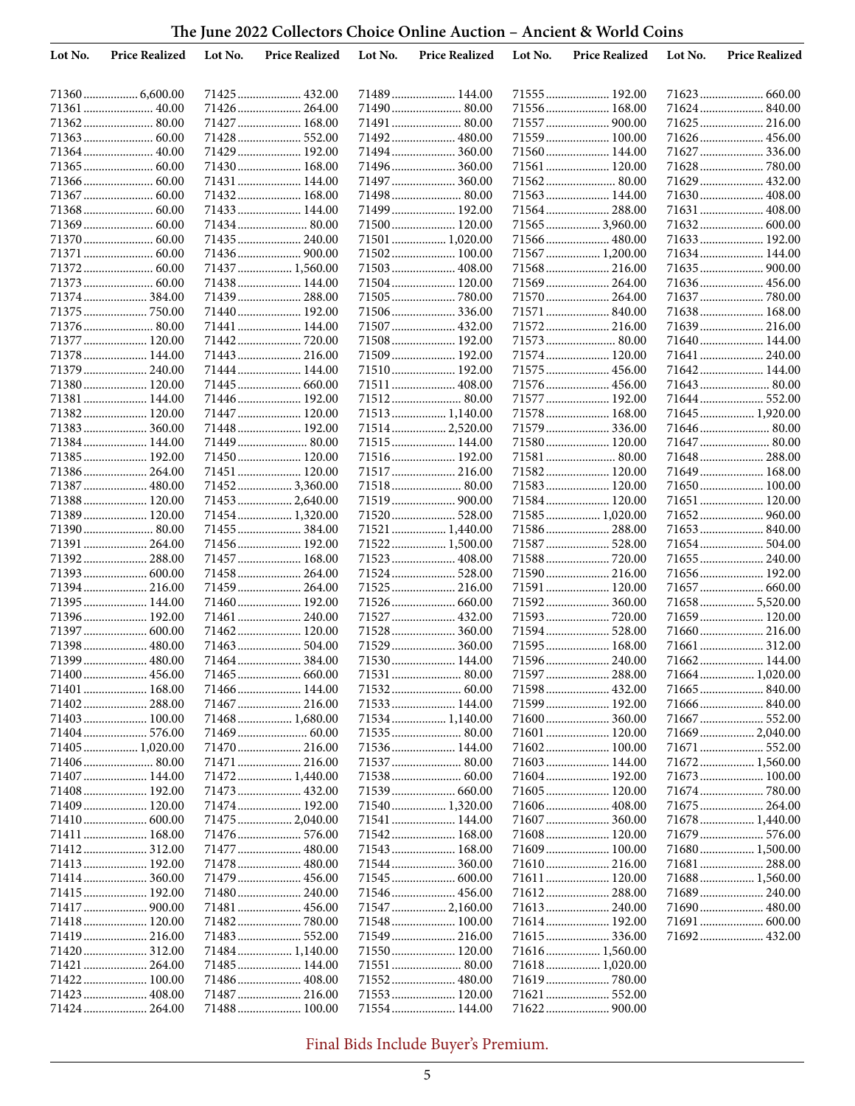| The June 2022 Collectors Choice Online Auction – Ancient & World Coins |  |
|------------------------------------------------------------------------|--|
|------------------------------------------------------------------------|--|

| Lot No. | <b>Price Realized</b>        | Lot No. | <b>Price Realized</b>          | Lot No. | <b>Price Realized</b>           | Lot No. | <b>Price Realized</b>          | Lot No. | <b>Price Realized</b> |
|---------|------------------------------|---------|--------------------------------|---------|---------------------------------|---------|--------------------------------|---------|-----------------------|
|         |                              |         |                                |         |                                 |         |                                |         |                       |
|         |                              |         | 71425 432.00                   |         | 71489 144.00                    |         | 71555  192.00                  |         |                       |
|         | 71361  40.00                 |         | 71426 264.00                   |         | 71490 80.00                     |         | 71556 168.00                   |         | 71624 840.00          |
|         | 71362 80.00                  |         | 71427  168.00                  |         | 71491  80.00                    |         | 71557  900.00                  |         | 71625 216.00          |
|         |                              |         | 71428 552.00                   |         | 71492 480.00                    |         | 71559 100.00                   |         | 71626 456.00          |
| 71364   | 40.00                        |         | 71429 192.00                   |         | 71494 360.00                    |         | 71560 144.00                   |         | 71627  336.00         |
|         |                              |         | 71430 168.00                   |         | 71496 360.00                    |         | 71561  120.00                  |         | 71628  780.00         |
|         |                              |         | 71431  144.00                  |         | 71497  360.00                   |         | 71562 80.00                    |         | 71629  432.00         |
|         |                              |         | 71432 168.00                   |         | 71498 80.00                     |         | 71563 144.00                   |         | 71630 408.00          |
|         |                              |         | 71433 144.00                   |         | 71499 192.00                    |         |                                |         |                       |
|         |                              |         |                                |         | 71500 120.00                    |         | 71565 3,960.00                 |         |                       |
|         |                              |         | 71435 240.00                   |         | 71501  1,020.00                 |         |                                |         |                       |
| 71371   |                              |         | 71436 900.00                   |         | 71502 100.00                    |         | 71567  1,200.00                |         | 71634 144.00          |
| 71372.  |                              |         | 71437  1,560.00                |         | 71503  408.00                   |         | 71568 216.00                   |         |                       |
|         |                              |         | 71438 144.00                   |         | 71504 120.00                    |         | 71569  264.00                  |         | 71636 456.00          |
|         | 71374 384.00                 |         | 71439 288.00                   |         | 71505  780.00                   |         |                                |         |                       |
|         | 71375  750.00                |         | 71440 192.00                   |         | 71506 336.00                    |         | 71571  840.00                  |         | 71638 168.00          |
|         | 71376 80.00                  |         | 71441  144.00                  |         | 71507  432.00                   |         | 71572 216.00                   |         | 71639 216.00          |
|         | 71377  120.00                |         | 71442720.00                    |         | 71508 192.00                    |         | 71573  80.00                   |         | 71640 144.00          |
|         | 71378 144.00                 |         | 71443  216.00                  |         | 71509 192.00                    |         | 71574 120.00                   |         | 71641  240.00         |
|         | 71379  240.00                |         | 71444 144.00                   |         | 71510 192.00                    |         | 71575  456.00                  |         | 71642 144.00          |
|         | 71380 120.00                 |         | 71445  660.00                  |         | 71511  408.00                   |         | 71576  456.00                  |         |                       |
|         | 71381  144.00                |         | 71446 192.00                   |         |                                 |         | 71577  192.00                  |         | 71644  552.00         |
|         | 71382 120.00                 |         | 71447  120.00                  |         | 71513 1,140.00                  |         | 71578 168.00                   |         | 71645  1,920.00       |
|         | 71383 360.00                 |         | 71448 192.00                   |         | 71514  2,520.00                 |         | 71579  336.00                  |         | 71646 80.00           |
|         | 71384 144.00                 |         |                                |         | 71515 144.00                    |         | 71580 120.00                   |         | 71647  80.00          |
|         | 71385 192.00<br>71386 264.00 |         | 71450 120.00<br>71451 120.00   |         | 71516 192.00<br>71517 216.00    |         | 71581  80.00<br>71582 120.00   |         | 71649  168.00         |
|         |                              |         |                                |         |                                 |         |                                |         |                       |
|         | 71387  480.00                |         | 71452 3,360.00                 |         |                                 |         | 71583 120.00                   |         | 71650 100.00          |
|         | 71388 120.00                 |         | 71453 2,640.00                 |         |                                 |         | 71584 120.00                   |         | 71651  120.00         |
|         | 71389 120.00<br>71390 80.00  |         | 71454 1,320.00<br>71455 384.00 |         | 71520 528.00<br>71521  1,440.00 |         | 71585 1,020.00<br>71586 288.00 |         |                       |
|         | 71391  264.00                |         | 71456 192.00                   |         | 71522 1,500.00                  |         | 71587  528.00                  |         | 71654  504.00         |
|         | 71392 288.00                 |         | 71457 168.00                   |         | 71523 408.00                    |         | 71588 720.00                   |         | 71655 240.00          |
|         | 71393  600.00                |         | 71458 264.00                   |         | 71524  528.00                   |         | 71590 216.00                   |         | 71656 192.00          |
| 71394   |                              |         | 71459 264.00                   |         | 71525 216.00                    |         | 71591  120.00                  |         | 71657  660.00         |
|         | 71395  144.00                |         | 71460 192.00                   |         |                                 |         | 71592 360.00                   |         | 716585,520.00         |
|         | 71396 192.00                 |         | 71461  240.00                  |         | 71527  432.00                   |         | 71593  720.00                  |         | 71659  120.00         |
|         | 71397  600.00                |         | 71462 120.00                   |         | 71528  360.00                   |         |                                |         | 71660 216.00          |
|         | 71398 480.00                 |         | 71463 504.00                   |         | 71529  360.00                   |         | 71595  168.00                  |         | 71661  312.00         |
|         | 71399  480.00                |         | 71464 384.00                   |         | 71530 144.00                    |         |                                |         | 71662 144.00          |
|         | 71400  456.00                |         |                                |         |                                 |         | 71597  288.00                  |         |                       |
|         | 71401  168.00                |         | 71466  144.00                  |         | 71532  60.00                    |         |                                |         |                       |
|         |                              |         |                                |         |                                 |         | 71599 192.00                   |         | 71666 840.00          |
|         | 71403 100.00                 |         | 71468 1,680.00                 |         |                                 |         |                                |         |                       |
|         | 71404 576.00                 |         |                                |         |                                 |         | 71601  120.00                  |         |                       |
|         | 71405 1,020.00               |         | 71470 216.00                   |         | 71536 144.00                    |         |                                |         | 71671  552.00         |
|         |                              |         | 71471  216.00                  |         |                                 |         | 71603  144.00                  |         | 71672 1,560.00        |
|         | 71407 144.00                 |         | 71472 1,440.00                 |         |                                 |         | 71604 192.00                   |         | 71673  100.00         |
|         | 71408 192.00                 |         |                                |         |                                 |         | 71605  120.00                  |         | 71674 780.00          |
|         | 71409 120.00                 |         | 71474 192.00                   |         | 71540 1,320.00                  |         | 71606 408.00                   |         | 71675  264.00         |
|         |                              |         | 71475  2,040.00                |         | 71541  144.00                   |         | 71607  360.00                  |         | 71678  1,440.00       |
|         | 71411  168.00                |         | 71476 576.00                   |         | 71542 168.00                    |         | 71608 120.00                   |         |                       |
|         |                              |         | 71477  480.00                  |         | 71543 168.00                    |         | 71609  100.00                  |         | 71680 1,500.00        |
|         | 71413 192.00                 |         | 71478 480.00                   |         |                                 |         | 71610 216.00                   |         | 71681  288.00         |
|         |                              |         |                                |         |                                 |         | 71611  120.00                  |         | 71688 1,560.00        |
|         | 71415 192.00                 |         | 71480 240.00                   |         | 71546  456.00                   |         |                                |         |                       |
|         |                              |         |                                |         | 71547  2,160.00                 |         |                                |         |                       |
|         | 71418 120.00                 |         | 71482780.00                    |         | 71548 100.00                    |         |                                |         | 71691  600.00         |
|         | 71419 216.00                 |         |                                |         | 71549  216.00                   |         |                                |         | 71692 432.00          |
|         |                              |         | 71484 1,140.00                 |         | 71550 120.00                    |         | 71616 1,560.00                 |         |                       |
|         | 71421  264.00                |         | 71485 144.00                   |         |                                 |         | 71618 1,020.00                 |         |                       |
|         | 71422 100.00                 |         |                                |         |                                 |         | 71619  780.00                  |         |                       |
|         | 71423  408.00                |         | 71487 216.00                   |         | 71553 120.00                    |         | 71621  552.00                  |         |                       |
|         | 71424  264.00                |         | 71488 100.00                   |         | 71554 144.00                    |         |                                |         |                       |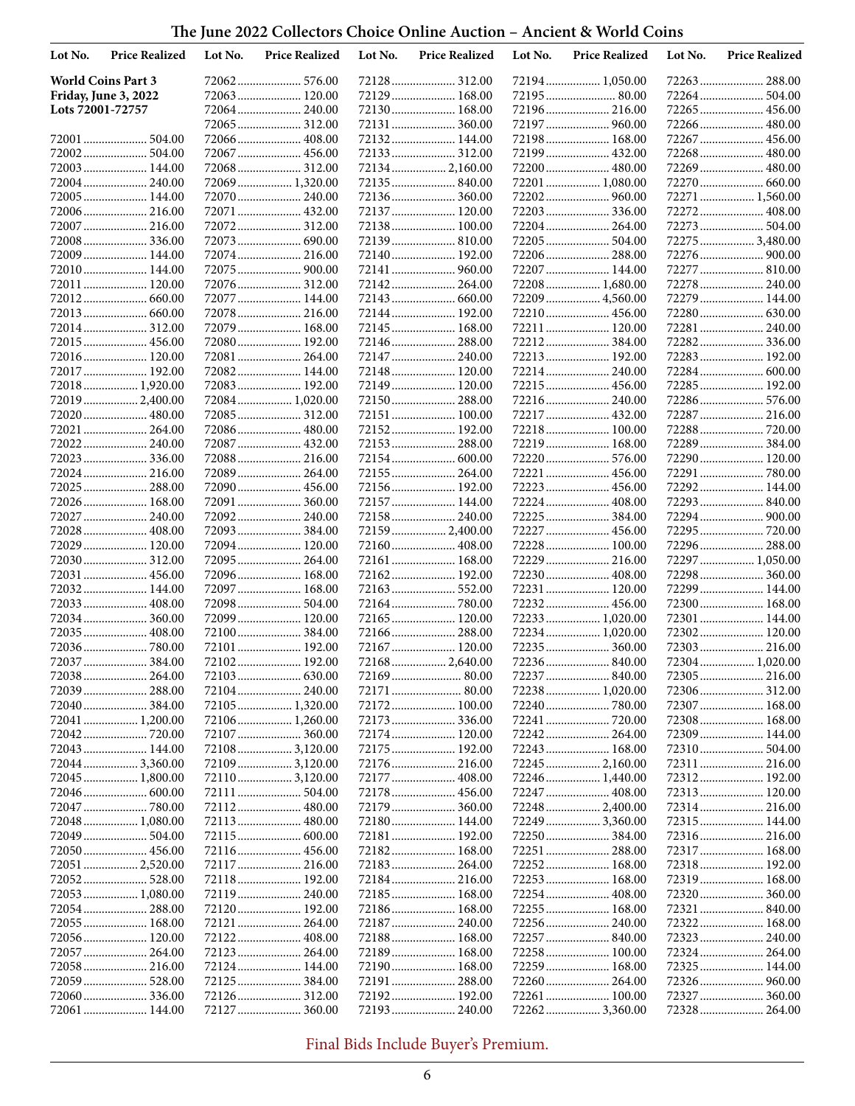| The June 2022 Collectors Choice Online Auction - Ancient & World Coins |
|------------------------------------------------------------------------|
|------------------------------------------------------------------------|

| Lot No.          | <b>Price Realized</b>            | Lot No. | <b>Price Realized</b>         | Lot No. | <b>Price Realized</b>        | Lot No. | <b>Price Realized</b>              | Lot No. | <b>Price Realized</b>            |
|------------------|----------------------------------|---------|-------------------------------|---------|------------------------------|---------|------------------------------------|---------|----------------------------------|
|                  | <b>World Coins Part 3</b>        |         |                               |         | 72128 312.00                 |         | 72194  1,050.00                    |         | 72263  288.00                    |
|                  | Friday, June 3, 2022             |         | 72063 120.00                  |         | 72129  168.00                |         | 72195 80.00                        |         |                                  |
| Lots 72001-72757 |                                  |         | 72064 240.00                  |         | 72130 168.00                 |         | 72196 216.00                       |         | 72265  456.00                    |
|                  |                                  |         | 72065 312.00                  |         |                              |         | 72197  960.00                      |         | 72266 480.00                     |
|                  |                                  |         | 72066 408.00                  |         | 72132 144.00                 |         | 72198 168.00                       |         | 72267  456.00                    |
|                  | 72002 504.00                     |         | 72067 456.00                  |         | 72133 312.00                 |         | 72199  432.00                      |         | 72268  480.00                    |
|                  | 72003 144.00                     |         | 72068 312.00                  |         | 72134 2,160.00               |         | 72200  480.00                      |         | 72269  480.00                    |
|                  | 72004 240.00                     |         | 72069 1,320.00                |         | 72135 840.00<br>72136 360.00 |         | 72201  1,080.00                    |         | 72270  660.00<br>72271  1,560.00 |
|                  | 72005 144.00<br>72006 216.00     |         | 72070 240.00<br>72071 432.00  |         | 72137 120.00                 |         |                                    |         | 72272 408.00                     |
|                  | 72007  216.00                    |         | 72072 312.00                  |         | 72138 100.00                 |         | 72204 264.00                       |         | 72273  504.00                    |
|                  | 72008 336.00                     |         | 72073 690.00                  |         | 72139 810.00                 |         | 72205 504.00                       |         | 722753,480.00                    |
|                  | 72009 144.00                     |         | 72074 216.00                  |         | 72140 192.00                 |         | 72206 288.00                       |         | 72276  900.00                    |
|                  | 72010 144.00                     |         |                               |         | 72141  960.00                |         | 72207  144.00                      |         | 72277  810.00                    |
|                  | 72011  120.00                    |         | 72076 312.00                  |         | 72142 264.00                 |         | 72208 1,680.00                     |         | 72278  240.00                    |
|                  |                                  |         | 72077  144.00                 |         | 72143  660.00                |         | 72209  4,560.00                    |         | 72279  144.00                    |
|                  |                                  |         | 72078 216.00                  |         | 72144 192.00                 |         | 72210 456.00                       |         | 72280  630.00                    |
|                  | 72014 312.00                     |         | 72079 168.00                  |         | 72145  168.00                |         | 72211  120.00                      |         | 72281  240.00                    |
|                  | 72015 456.00                     |         | 72080 192.00                  |         | 72146 288.00                 |         |                                    |         |                                  |
|                  | 72016 120.00                     |         | 72081 264.00                  |         | 72147  240.00                |         | 72213 192.00                       |         | 72283  192.00                    |
|                  | 72017  192.00                    |         | 72082 144.00                  |         | 72148 120.00                 |         | 72214  240.00                      |         | 72284  600.00                    |
|                  | 72018 1,920.00                   |         | 72083 192.00                  |         | 72149  120.00                |         | 72215  456.00                      |         | 72285  192.00                    |
|                  | 72019  2,400.00                  |         | 72084 1,020.00                |         | 72150 288.00                 |         | 72216 240.00                       |         | 72286 576.00                     |
|                  | 72020 480.00                     |         | 72085 312.00                  |         | 72151  100.00                |         | 72217  432.00<br>72218 100.00      |         | 72287  216.00                    |
|                  | 72021  264.00<br>72022 240.00    |         | 72086 480.00<br>72087  432.00 |         | 72152 192.00<br>72153 288.00 |         | 72219  168.00                      |         | 72288  720.00<br>72289  384.00   |
|                  | 72023 336.00                     |         | 72088 216.00                  |         | 72154 600.00                 |         | 72220  576.00                      |         | 72290 120.00                     |
|                  | 72024 216.00                     |         | 72089 264.00                  |         | 72155  264.00                |         |                                    |         |                                  |
|                  | 72025  288.00                    |         | 72090 456.00                  |         | 72156 192.00                 |         | 72223  456.00                      |         | 72292 144.00                     |
|                  | 72026 168.00                     |         | 72091 360.00                  |         | 72157  144.00                |         | 72224  408.00                      |         | 72293 840.00                     |
|                  | 72027  240.00                    |         | 72092 240.00                  |         | 72158 240.00                 |         | 72225  384.00                      |         | 72294 900.00                     |
|                  | 72028  408.00                    |         | 72093 384.00                  |         | 72159  2,400.00              |         | 72227  456.00                      |         | 72295  720.00                    |
|                  | 72029  120.00                    |         | 72094 120.00                  |         | 72160 408.00                 |         | 72228  100.00                      |         | 72296  288.00                    |
|                  | 72030 312.00                     |         | 72095 264.00                  |         | 72161  168.00                |         | 72229  216.00                      |         | 72297  1,050.00                  |
|                  | 72031  456.00                    |         | 72096 168.00                  |         | 72162 192.00                 |         | 72230  408.00                      |         | 72298  360.00                    |
|                  | 72032 144.00                     |         | 72097  168.00                 |         |                              |         | 72231  120.00                      |         | 72299  144.00                    |
|                  | 72033  408.00                    |         | 72098 504.00                  |         |                              |         | 72232 456.00                       |         | 72300  168.00                    |
|                  | 72034 360.00<br>72035 408.00     |         | 72099 120.00<br>72100384.00   |         | 72165 120.00<br>72166 288.00 |         | 72233  1,020.00<br>72234  1,020.00 |         | 72301  144.00<br>72302 120.00    |
|                  | 72036780.00                      |         | 72101  192.00                 |         | 72167 120.00                 |         | 72235 360.00                       |         | 72303 216.00                     |
|                  | 72037  384.00                    |         | 72102 192.00                  |         | 72168 2,640.00               |         | 72236 840.00                       |         | 72304 1,020.00                   |
|                  |                                  |         |                               |         |                              |         |                                    |         | 72305  216.00                    |
|                  | 72039  288.00                    |         | 72104 240.00                  |         | 72171  80.00                 |         | 72238 1,020.00                     |         | 72306  312.00                    |
|                  |                                  |         | 72105 1,320.00                |         | 72172 100.00                 |         |                                    |         | 72307  168.00                    |
|                  | 72041  1,200.00                  |         |                               |         |                              |         |                                    |         | 72308 168.00                     |
|                  |                                  |         | 72107 360.00                  |         |                              |         |                                    |         | 72309 144.00                     |
|                  | 72043 144.00                     |         | 721083,120.00                 |         | 72175 192.00                 |         | 72243 168.00                       |         | 72310 504.00                     |
|                  | 720443,360.00                    |         | 721093,120.00                 |         | 72176 216.00                 |         |                                    |         | 72311  216.00                    |
|                  | 72045  1,800.00                  |         | 721103,120.00                 |         | 72177  408.00                |         | 72246 1,440.00                     |         | 72312 192.00                     |
|                  | 72046  600.00                    |         |                               |         | 72178  456.00                |         |                                    |         | 72313 120.00                     |
|                  | 72047  780.00<br>72048  1,080.00 |         |                               |         | 72180 144.00                 |         | 72248  2,400.00                    |         | 72315 144.00                     |
|                  | 72049  504.00                    |         |                               |         | 72181 192.00                 |         | 72249  3,360.00                    |         |                                  |
|                  |                                  |         |                               |         | 72182 168.00                 |         | 72251  288.00                      |         | 72317 168.00                     |
|                  | 72051  2,520.00                  |         | 72117 216.00                  |         |                              |         | 72252 168.00                       |         | 72318 192.00                     |
|                  | 72052 528.00                     |         |                               |         |                              |         | 72253  168.00                      |         | 72319 168.00                     |
|                  | 72053 1,080.00                   |         |                               |         | 72185 168.00                 |         |                                    |         |                                  |
|                  |                                  |         | 72120 192.00                  |         | 72186 168.00                 |         | 72255 168.00                       |         |                                  |
|                  | 72055  168.00                    |         |                               |         |                              |         |                                    |         | 72322 168.00                     |
|                  | 72056 120.00                     |         |                               |         | 72188 168.00                 |         |                                    |         | 72323  240.00                    |
|                  | 72057  264.00                    |         |                               |         | 72189 168.00                 |         | 72258 100.00                       |         |                                  |
|                  | 72058 216.00                     |         | 72124 144.00                  |         | 72190 168.00                 |         | 72259 168.00                       |         | 72325 144.00                     |
|                  | 72059  528.00                    |         |                               |         | 72191  288.00                |         | 72260  264.00                      |         |                                  |
|                  | 72061  144.00                    |         | 72127  360.00                 |         | 72193 240.00                 |         | 72261  100.00<br>722623,360.00     | 72328   | 72327  360.00<br>264.00          |
|                  |                                  |         |                               |         |                              |         |                                    |         |                                  |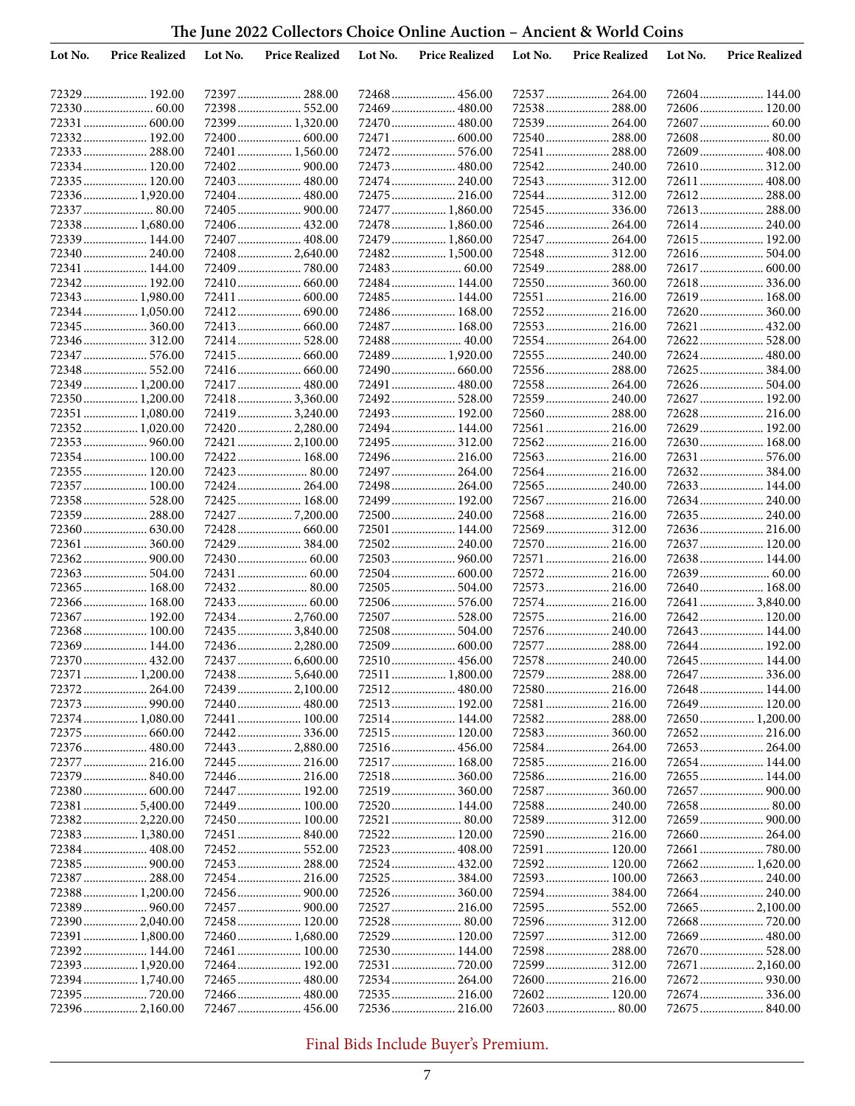| The June 2022 Collectors Choice Online Auction – Ancient & World Coins |  |
|------------------------------------------------------------------------|--|
|------------------------------------------------------------------------|--|

| Lot No. | <b>Price Realized</b>          | Lot No. | <b>Price Realized</b>         | Lot No. | <b>Price Realized</b>         | Lot No. | <b>Price Realized</b>          | Lot No. | <b>Price Realized</b>           |
|---------|--------------------------------|---------|-------------------------------|---------|-------------------------------|---------|--------------------------------|---------|---------------------------------|
|         |                                |         |                               |         |                               |         |                                |         |                                 |
|         | 72329  192.00                  |         |                               |         | 72468  456.00                 |         |                                |         |                                 |
|         |                                |         | 72398 552.00                  |         | 72469  480.00                 |         | 72538 288.00                   |         | 72606 120.00                    |
|         | 72331  600.00                  |         | 72399 1,320.00                |         | 72470  480.00                 |         | 72539  264.00                  |         | 72607  60.00                    |
|         | 72332 192.00                   |         |                               |         | 72471  600.00                 |         | 72540  288.00                  |         |                                 |
|         | 72333  288.00                  |         | 72401  1,560.00               |         |                               |         | 72541  288.00                  |         | 72609  408.00                   |
|         | 72334 120.00                   |         |                               |         | 72473  480.00                 |         | 72542 240.00                   |         | 72610 312.00                    |
|         | 72335 120.00<br>72336 1,920.00 |         | 72403 480.00<br>72404 480.00  |         | 72474 240.00<br>72475  216.00 |         | 72543  312.00                  |         | 72611  408.00                   |
|         |                                |         |                               |         | 72477  1,860.00               |         | 72544  312.00<br>72545  336.00 |         | 72612 288.00<br>72613  288.00   |
|         | 72338 1,680.00                 |         | 72406 432.00                  |         | 72478  1,860.00               |         |                                |         | 72614 240.00                    |
|         | 72339 144.00                   |         | 72407  408.00                 |         | 72479  1,860.00               |         | 72547  264.00                  |         | 72615 192.00                    |
|         | 72340  240.00                  |         | 72408 2,640.00                |         | 72482 1,500.00                |         |                                |         | 72616 504.00                    |
|         | 72341  144.00                  |         | 72409780.00                   |         |                               |         | 72549  288.00                  |         | 72617  600.00                   |
|         | 72342 192.00                   |         | 72410 660.00                  |         | 72484 144.00                  |         |                                |         | 72618 336.00                    |
|         | 72343  1,980.00                |         |                               |         | 72485  144.00                 |         |                                |         | 72619 168.00                    |
|         | 72344 1,050.00                 |         | 72412 690.00                  |         | 72486 168.00                  |         | 72552 216.00                   |         | 72620  360.00                   |
|         | 72345  360.00                  |         |                               |         | 72487  168.00                 |         | 72553 216.00                   |         | 72621  432.00                   |
|         | 72346 312.00                   |         | 72414 528.00                  |         |                               |         | 72554 264.00                   |         | 72622 528.00                    |
|         | 72348 552.00                   |         |                               |         | 72489  1,920.00               |         | 72556  288.00                  |         | 72625  384.00                   |
|         | 72349  1,200.00                |         | 72417  480.00                 |         | 72491  480.00                 |         | 72558 264.00                   |         | 72626  504.00                   |
|         | 72350 1,200.00                 |         | 724183,360.00                 |         | 72492 528.00                  |         | 72559  240.00                  |         | 72627  192.00                   |
|         | 72351  1,080.00                |         | 72419  3,240.00               |         | 72493  192.00                 |         | 72560  288.00                  |         | 72628  216.00                   |
|         | 72352 1,020.00                 |         | 724202,280.00                 |         | 72494 144.00                  |         | 72561  216.00                  |         | 72629  192.00                   |
|         |                                |         | 72421  2,100.00               |         | 72495  312.00                 |         | 72562 216.00                   |         | 72630  168.00                   |
|         | 72354 100.00                   |         | 72422 168.00                  |         | 72496 216.00                  |         | 72563  216.00                  |         | 72631  576.00                   |
|         | 72355  120.00                  |         |                               |         | 72497  264.00                 |         |                                |         | 72632 384.00                    |
|         | 72357  100.00                  |         | 72424 264.00                  |         | 72498 264.00                  |         | 72565  240.00                  |         | 72633 144.00                    |
|         | 72358 528.00                   |         | 72425 168.00                  |         | 72499  192.00                 |         | 72567  216.00                  |         | 72634 240.00                    |
|         | 72359  288.00                  |         | 72427  7,200.00               |         | 72500 240.00                  |         | 72568 216.00                   |         | 72635 240.00                    |
|         | 72361  360.00                  |         | 72428 660.00<br>72429  384.00 |         | 72501  144.00                 |         |                                |         | 72637  120.00                   |
|         |                                |         |                               |         |                               |         | 72571  216.00                  |         | 72638 144.00                    |
|         | 72363 504.00                   |         |                               |         | 72504 600.00                  |         | 72572 216.00                   |         | 72639  60.00                    |
|         | 72365  168.00                  |         | 72432 80.00                   |         |                               |         | 72573  216.00                  |         | 72640  168.00                   |
|         | 72366 168.00                   |         |                               |         |                               |         | 72574  216.00                  |         | 72641  3,840.00                 |
|         | 72367  192.00                  |         | 72434 2,760.00                |         | 72507  528.00                 |         | 72575  216.00                  |         | 72642 120.00                    |
|         | 72368 100.00                   |         | 724353,840.00                 |         | 72508  504.00                 |         |                                |         | 72643  144.00                   |
|         | 72369  144.00                  |         | 72436 2,280.00                |         |                               |         | 72577  288.00                  |         | 72644 192.00                    |
|         | 72370  432.00                  |         |                               |         | 72510 456.00                  |         | 72578 240.00                   |         | 72645  144.00                   |
|         | 72371  1,200.00                |         | 724385,640.00                 |         | 72511  1,800.00               |         | 72579  288.00                  |         |                                 |
|         |                                |         |                               |         | 72512  480.00                 |         |                                |         | 72648  144.00                   |
|         | 72374  1,080.00                |         | 72441  100.00                 |         | 72514  144.00                 |         | 72581  216.00                  |         | 72649  120.00<br>72650 1,200.00 |
|         | 72375  660.00                  |         | 72442 336.00                  |         | 72515 120.00                  |         | 72583 360.00                   |         |                                 |
|         |                                |         | 72443  2,880.00               |         |                               |         | 72584 264.00                   |         | 72653  264.00                   |
|         | 72377  216.00                  |         | 72445  216.00                 |         | 72517  168.00                 |         | 72585 216.00                   |         | 72654 144.00                    |
|         |                                |         | 72446 216.00                  |         | 72518 360.00                  |         |                                |         | 72655  144.00                   |
|         | 72380 600.00                   |         | 72447  192.00                 |         | 72519  360.00                 |         |                                |         |                                 |
|         | 72381  5,400.00                |         | 72449  100.00                 |         | 72520 144.00                  |         | 72588 240.00                   |         | 72658  80.00                    |
|         | 723822,220.00                  |         | 72450 100.00                  |         |                               |         | 72589  312.00                  |         |                                 |
|         | 72383 1,380.00                 |         | 72451  840.00                 |         |                               |         |                                |         |                                 |
|         |                                |         |                               |         |                               |         | 72591  120.00                  |         |                                 |
|         | 72387  288.00                  |         |                               |         | 72524  432.00                 |         | 72592 120.00<br>72593  100.00  |         | 72662 1,620.00<br>72663  240.00 |
|         | 72388 1,200.00                 |         |                               |         |                               |         | 72594 384.00                   |         |                                 |
|         |                                |         |                               |         |                               |         | 72595  552.00                  |         | 72665  2,100.00                 |
|         | 72390  2,040.00                |         | 72458 120.00                  |         | 72528 80.00                   |         |                                |         |                                 |
|         | 72391  1,800.00                |         | 72460 1,680.00                |         | 72529 120.00                  |         | 72597  312.00                  |         | 72669  480.00                   |
|         | 72392 144.00                   |         | 72461 100.00                  |         | 72530 144.00                  |         |                                |         |                                 |
|         | 72393  1,920.00                |         | 72464 192.00                  |         |                               |         | 72599  312.00                  |         | 72671  2,160.00                 |
|         | 72394 1,740.00                 |         |                               |         |                               |         | 72600 216.00                   |         |                                 |
|         |                                |         |                               |         |                               |         | 72602 120.00                   |         |                                 |
|         | 72396 2,160.00                 |         |                               |         |                               |         |                                |         | 72675  840.00                   |